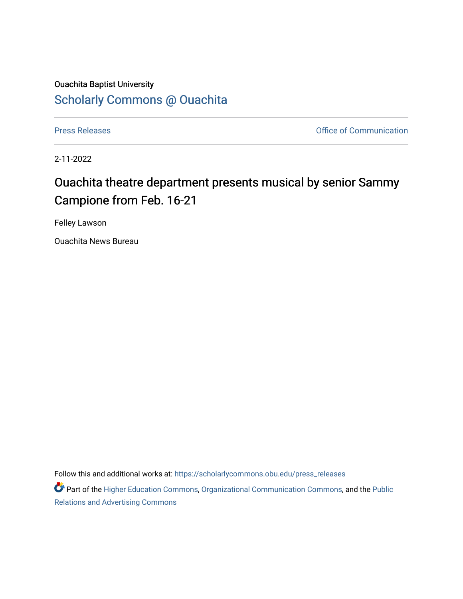## Ouachita Baptist University [Scholarly Commons @ Ouachita](https://scholarlycommons.obu.edu/)

[Press Releases](https://scholarlycommons.obu.edu/press_releases) **Press Releases Communication** 

2-11-2022

# Ouachita theatre department presents musical by senior Sammy Campione from Feb. 16-21

Felley Lawson

Ouachita News Bureau

Follow this and additional works at: [https://scholarlycommons.obu.edu/press\\_releases](https://scholarlycommons.obu.edu/press_releases?utm_source=scholarlycommons.obu.edu%2Fpress_releases%2F1051&utm_medium=PDF&utm_campaign=PDFCoverPages)

Part of the [Higher Education Commons,](http://network.bepress.com/hgg/discipline/1245?utm_source=scholarlycommons.obu.edu%2Fpress_releases%2F1051&utm_medium=PDF&utm_campaign=PDFCoverPages) [Organizational Communication Commons,](http://network.bepress.com/hgg/discipline/335?utm_source=scholarlycommons.obu.edu%2Fpress_releases%2F1051&utm_medium=PDF&utm_campaign=PDFCoverPages) and the [Public](http://network.bepress.com/hgg/discipline/336?utm_source=scholarlycommons.obu.edu%2Fpress_releases%2F1051&utm_medium=PDF&utm_campaign=PDFCoverPages) [Relations and Advertising Commons](http://network.bepress.com/hgg/discipline/336?utm_source=scholarlycommons.obu.edu%2Fpress_releases%2F1051&utm_medium=PDF&utm_campaign=PDFCoverPages)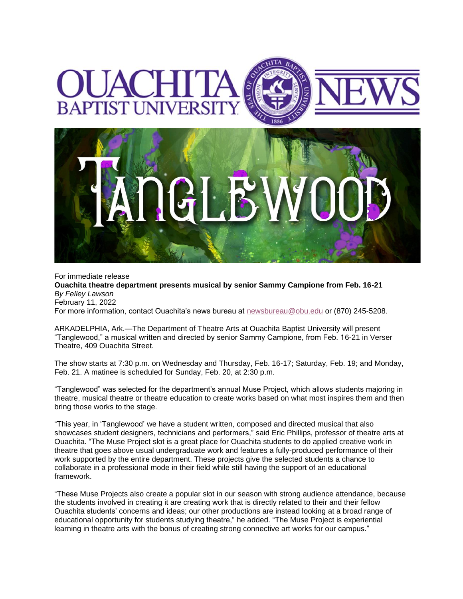

For immediate release **Ouachita theatre department presents musical by senior Sammy Campione from Feb. 16-21** *By Felley Lawson* February 11, 2022 For more information, contact Ouachita's news bureau at [newsbureau@obu.edu](mailto:newsbureau@obu.edu) or (870) 245-5208.

ARKADELPHIA, Ark.—The Department of Theatre Arts at Ouachita Baptist University will present "Tanglewood," a musical written and directed by senior Sammy Campione, from Feb. 16-21 in Verser Theatre, 409 Ouachita Street.

The show starts at 7:30 p.m. on Wednesday and Thursday, Feb. 16-17; Saturday, Feb. 19; and Monday, Feb. 21. A matinee is scheduled for Sunday, Feb. 20, at 2:30 p.m.

"Tanglewood" was selected for the department's annual Muse Project, which allows students majoring in theatre, musical theatre or theatre education to create works based on what most inspires them and then bring those works to the stage.

"This year, in 'Tanglewood' we have a student written, composed and directed musical that also showcases student designers, technicians and performers," said Eric Phillips, professor of theatre arts at Ouachita. "The Muse Project slot is a great place for Ouachita students to do applied creative work in theatre that goes above usual undergraduate work and features a fully-produced performance of their work supported by the entire department. These projects give the selected students a chance to collaborate in a professional mode in their field while still having the support of an educational framework.

"These Muse Projects also create a popular slot in our season with strong audience attendance, because the students involved in creating it are creating work that is directly related to their and their fellow Ouachita students' concerns and ideas; our other productions are instead looking at a broad range of educational opportunity for students studying theatre," he added. "The Muse Project is experiential learning in theatre arts with the bonus of creating strong connective art works for our campus."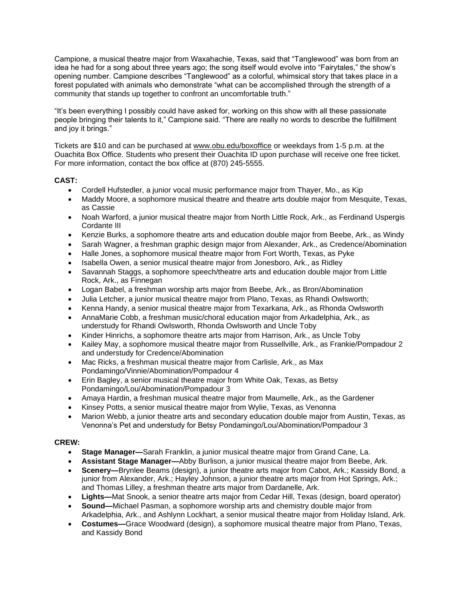Campione, a musical theatre major from Waxahachie, Texas, said that "Tanglewood" was born from an idea he had for a song about three years ago; the song itself would evolve into "Fairytales," the show's opening number. Campione describes "Tanglewood" as a colorful, whimsical story that takes place in a forest populated with animals who demonstrate "what can be accomplished through the strength of a community that stands up together to confront an uncomfortable truth."

"It's been everything I possibly could have asked for, working on this show with all these passionate people bringing their talents to it," Campione said. "There are really no words to describe the fulfillment and joy it brings."

Tickets are \$10 and can be purchased at [www.obu.edu/boxoffice](https://nam12.safelinks.protection.outlook.com/?url=http%3A%2F%2Fwww.obu.edu%2Fboxoffice&data=04%7C01%7Cmortensona%40OBU.EDU%7C5161075b80d04f3b5a0a08d9edaebfe1%7C59a7df8e1953458ba12bb585f94a11d9%7C1%7C0%7C637802157079191220%7CUnknown%7CTWFpbGZsb3d8eyJWIjoiMC4wLjAwMDAiLCJQIjoiV2luMzIiLCJBTiI6Ik1haWwiLCJXVCI6Mn0%3D%7C3000&sdata=ZgmTotzuyTNdBGR8LkXom9PC0w2BELVuZ3nLwG6Ruxk%3D&reserved=0) or weekdays from 1-5 p.m. at the Ouachita Box Office. Students who present their Ouachita ID upon purchase will receive one free ticket. For more information, contact the box office at (870) 245-5555.

## **CAST:**

- Cordell Hufstedler, a junior vocal music performance major from Thayer, Mo., as Kip
- Maddy Moore, a sophomore musical theatre and theatre arts double major from Mesquite, Texas, as Cassie
- Noah Warford, a junior musical theatre major from North Little Rock, Ark., as Ferdinand Uspergis Cordante III
- Kenzie Burks, a sophomore theatre arts and education double major from Beebe, Ark., as Windy
- Sarah Wagner, a freshman graphic design major from Alexander, Ark., as Credence/Abomination
- Halle Jones, a sophomore musical theatre major from Fort Worth, Texas, as Pyke
- Isabella Owen, a senior musical theatre major from Jonesboro, Ark., as Ridley
- Savannah Staggs, a sophomore speech/theatre arts and education double major from Little Rock, Ark., as Finnegan
- Logan Babel, a freshman worship arts major from Beebe, Ark., as Bron/Abomination
- Julia Letcher, a junior musical theatre major from Plano, Texas, as Rhandi Owlsworth;
- Kenna Handy, a senior musical theatre major from Texarkana, Ark., as Rhonda Owlsworth
- AnnaMarie Cobb, a freshman music/choral education major from Arkadelphia, Ark., as understudy for Rhandi Owlsworth, Rhonda Owlsworth and Uncle Toby
- Kinder Hinrichs, a sophomore theatre arts major from Harrison, Ark., as Uncle Toby
- Kailey May, a sophomore musical theatre major from Russellville, Ark., as Frankie/Pompadour 2 and understudy for Credence/Abomination
- Mac Ricks, a freshman musical theatre major from Carlisle, Ark., as Max Pondamingo/Vinnie/Abomination/Pompadour 4
- Erin Bagley, a senior musical theatre major from White Oak, Texas, as Betsy Pondamingo/Lou/Abomination/Pompadour 3
- Amaya Hardin, a freshman musical theatre major from Maumelle, Ark., as the Gardener
- Kinsey Potts, a senior musical theatre major from Wylie, Texas, as Venonna
- Marion Webb, a junior theatre arts and secondary education double major from Austin, Texas, as Venonna's Pet and understudy for Betsy Pondamingo/Lou/Abomination/Pompadour 3

## **CREW:**

- **Stage Manager—**Sarah Franklin, a junior musical theatre major from Grand Cane, La.
- **Assistant Stage Manager—**Abby Burlison, a junior musical theatre major from Beebe, Ark.
- **Scenery—**Brynlee Beams (design), a junior theatre arts major from Cabot, Ark.; Kassidy Bond, a junior from Alexander, Ark.; Hayley Johnson, a junior theatre arts major from Hot Springs, Ark.; and Thomas Lilley, a freshman theatre arts major from Dardanelle, Ark.
- **Lights—**Mat Snook, a senior theatre arts major from Cedar Hill, Texas (design, board operator)
- **Sound—**Michael Pasman, a sophomore worship arts and chemistry double major from Arkadelphia, Ark., and Ashlynn Lockhart, a senior musical theatre major from Holiday Island, Ark.
- **Costumes—**Grace Woodward (design), a sophomore musical theatre major from Plano, Texas, and Kassidy Bond